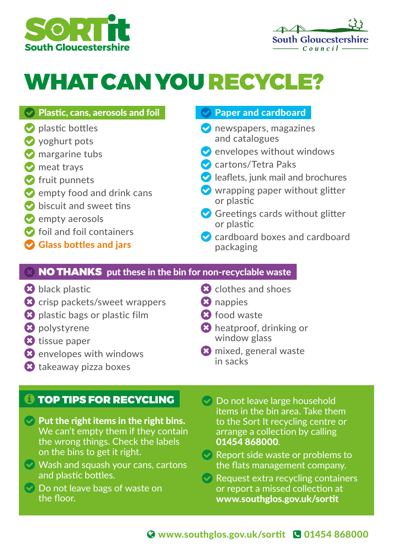



## WHAT CAN YOU RECYCLE?

#### $\vee$  Plastic, cans, aerosols and foil

- $\bullet$  plastic bottles
- voghurt pots
- **M** margarine tubs
- **M** meat trays
- $\bullet$  fruit punnets
- $\bullet$  empty food and drink cans
- $\bullet$  biscuit and sweet tins
- $\bullet$  empty aerosols
- $\bullet$  foil and foil containers
- Glass bottles and jars

#### Paper and cardboard

- **O** newspapers, magazines and catalogues
- $\bullet$  envelopes without windows
- Cartons/Tetra Paks
- $\blacktriangleright$  leaflets, junk mail and brochures
- $\vee$  wrapping paper without glitter or plastic
- Greetings cards without glitter or plastic
- **C** cardboard boxes and cardboard packaging

#### NO THANKS put these in the bin for non-recyclable waste

- **B** black plastic
- **a** crisp packets/sweet wrappers
- **8** plastic bags or plastic film
- **8** polystyrene
- **8** tissue paper
- **8** envelopes with windows
- takeaway pizza boxes

#### **O TOP TIPS FOR RECYCLING**

- $\heartsuit$  Put the right items in the right bins. We can't empty them if they contain the wrong things. Check the labels on the bins to get it right.
- $\heartsuit$  Wash and squash your cans, cartons and plastic bottles.
- $\heartsuit$  Do not leave bags of waste on the floor.
- **a** clothes and shoes
- **8** nappies
- **8** food waste
- heatproof, drinking or window glass
- **8** mixed, general waste in sacks
- Do not leave large household items in the bin area. Take them to the Sort It recycling centre or arrange a collection by calling 01454 868000.
- Report side waste or problems to the flats management company.
- $\heartsuit$  Request extra recycling containers or report a missed collection at www.southglos.gov.uk/sortit